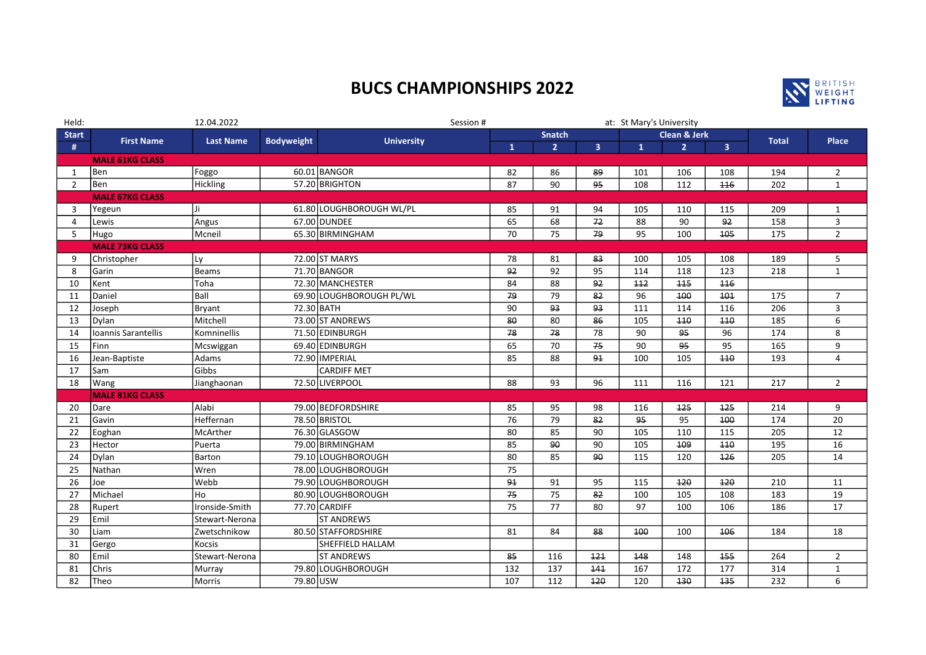## BUCS CHAMPIONSHIPS 2022



| Held:          | 12.04.2022             |                                       |           | Session #                              |                 |                | at: St Mary's University |                   |                |                |              |                         |
|----------------|------------------------|---------------------------------------|-----------|----------------------------------------|-----------------|----------------|--------------------------|-------------------|----------------|----------------|--------------|-------------------------|
| <b>Start</b>   |                        | <b>First Name</b><br><b>Last Name</b> |           | <b>Bodyweight</b><br><b>University</b> | <b>Snatch</b>   |                |                          | Clean & Jerk      |                |                | <b>Total</b> | <b>Place</b>            |
| #              |                        |                                       |           |                                        | $\mathbf{1}$    | 2 <sup>1</sup> | 3 <sup>1</sup>           | $\mathbf{1}$      | 2 <sup>1</sup> | 3 <sup>1</sup> |              |                         |
|                | <b>MALE 61KG CLASS</b> |                                       |           |                                        |                 |                |                          |                   |                |                |              |                         |
| 1              | Ben                    | Foggo                                 |           | 60.01 BANGOR                           | 82              | 86             | 89                       | 101               | 106            | 108            | 194          | $\overline{2}$          |
| $\overline{2}$ | Ben                    | Hickling                              |           | 57.20 BRIGHTON                         | 87              | 90             | 95                       | 108               | 112            | 116            | 202          | $\mathbf{1}$            |
|                | <b>MALE 67KG CLASS</b> |                                       |           |                                        |                 |                |                          |                   |                |                |              |                         |
| $\overline{3}$ | Yegeun                 | Ji                                    |           | 61.80 LOUGHBOROUGH WL/PL               | 85              | 91             | 94                       | 105               | 110            | 115            | 209          | $\mathbf{1}$            |
| $\Delta$       | Lewis                  | Angus                                 |           | 67.00 DUNDEE                           | 65              | 68             | 72                       | 88                | 90             | 92             | 158          | $\mathbf{3}$            |
| 5              | Hugo                   | Mcneil                                |           | 65.30 BIRMINGHAM                       | 70              | 75             | 79                       | 95                | 100            | 105            | 175          | $2^{\circ}$             |
|                | <b>MALE 73KG CLASS</b> |                                       |           |                                        |                 |                |                          |                   |                |                |              |                         |
| 9              | Christopher            | Ly                                    |           | 72.00 ST MARYS                         | 78              | 81             | 83                       | 100               | 105            | 108            | 189          | 5                       |
| 8              | Garin                  | <b>Beams</b>                          |           | 71.70 BANGOR                           | 92              | 92             | 95                       | 114               | 118            | 123            | 218          | $\mathbf{1}$            |
| 10             | Kent                   | Toha                                  |           | 72.30 MANCHESTER                       | 84              | 88             | 92                       | 112               | 445            | 116            |              |                         |
| 11             | Daniel                 | Ball                                  |           | 69.90 LOUGHBOROUGH PL/WL               | 79              | 79             | 82                       | 96                | 100            | 101            | 175          | $\overline{7}$          |
| 12             | Joseph                 | Bryant                                |           | 72.30 BATH                             | 90              | 93             | 93                       | 111               | 114            | 116            | 206          | $\overline{\mathbf{3}}$ |
| 13             | Dylan                  | Mitchell                              |           | 73.00 ST ANDREWS                       | 80              | 80             | 86                       | 105               | 110            | 440            | 185          | 6                       |
| 14             | Ioannis Sarantellis    | Komninellis                           |           | 71.50 EDINBURGH                        | 78              | 78             | 78                       | 90                | 95             | 96             | 174          | 8                       |
| 15             | Finn                   | Mcswiggan                             |           | 69.40 EDINBURGH                        | 65              | 70             | 75                       | 90                | 95             | 95             | 165          | 9                       |
| 16             | Jean-Baptiste          | Adams                                 |           | 72.90 IMPERIAL                         | 85              | 88             | 91                       | 100               | 105            | 110            | 193          | $\overline{4}$          |
| 17             | Sam                    | Gibbs                                 |           | <b>CARDIFF MET</b>                     |                 |                |                          |                   |                |                |              |                         |
| 18             | Wang                   | Jianghaonan                           |           | 72.50 LIVERPOOL                        | 88              | 93             | 96                       | 111               | 116            | 121            | 217          | $\overline{2}$          |
|                | <b>MALE 81KG CLASS</b> |                                       |           |                                        |                 |                |                          |                   |                |                |              |                         |
| 20             | Dare                   | Alabi                                 |           | 79.00 BEDFORDSHIRE                     | 85              | 95             | 98                       | 116               | 125            | 125            | 214          | 9                       |
| 21             | Gavin                  | Heffernan                             |           | 78.50 BRISTOL                          | 76              | 79             | 82                       | 95                | 95             | 100            | 174          | 20                      |
| 22             | Eoghan                 | McArther                              |           | 76.30 GLASGOW                          | 80              | 85             | 90                       | 105               | 110            | 115            | 205          | 12                      |
| 23             | Hector                 | Puerta                                |           | 79.00 BIRMINGHAM                       | 85              | 90             | 90                       | 105               | 109            | 110            | 195          | 16                      |
| 24             | Dylan                  | Barton                                |           | 79.10 LOUGHBOROUGH                     | 80              | 85             | 90                       | 115               | 120            | 126            | 205          | 14                      |
| 25             | Nathan                 | Wren                                  |           | 78.00 LOUGHBOROUGH                     | 75              |                |                          |                   |                |                |              |                         |
| 26             | Joe                    | Webb                                  |           | 79.90 LOUGHBOROUGH                     | 91              | 91             | 95                       | 115               | 120            | 120            | 210          | 11                      |
| 27             | Michael                | Ho                                    |           | 80.90 LOUGHBOROUGH                     | $\overline{75}$ | 75             | 82                       | 100               | 105            | 108            | 183          | 19                      |
| 28             | Rupert                 | Ironside-Smith                        |           | 77.70 CARDIFF                          | 75              | 77             | 80                       | 97                | 100            | 106            | 186          | 17                      |
| 29             | Emil                   | Stewart-Nerona                        |           | <b>ST ANDREWS</b>                      |                 |                |                          |                   |                |                |              |                         |
| 30             | Liam                   | Zwetschnikow                          |           | 80.50 STAFFORDSHIRE                    | 81              | 84             | 88                       | 100               | 100            | 406            | 184          | 18                      |
| 31             | Gergo                  | <b>Kocsis</b>                         |           | SHEFFIELD HALLAM                       |                 |                |                          |                   |                |                |              |                         |
| 80             | Emil                   | Stewart-Nerona                        |           | <b>ST ANDREWS</b>                      | 85              | 116            | 121                      | 148               | 148            | 155            | 264          | $\overline{2}$          |
| 81             | Chris                  | Murray                                |           | 79.80 LOUGHBOROUGH                     | 132             | 137            | 141                      | $\frac{167}{167}$ | 172            | 177            | 314          | $\mathbf 1$             |
| 82             | Theo                   | Morris                                | 79.80 USW |                                        | 107             | 112            | 120                      | 120               | 130            | 135            | 232          | 6                       |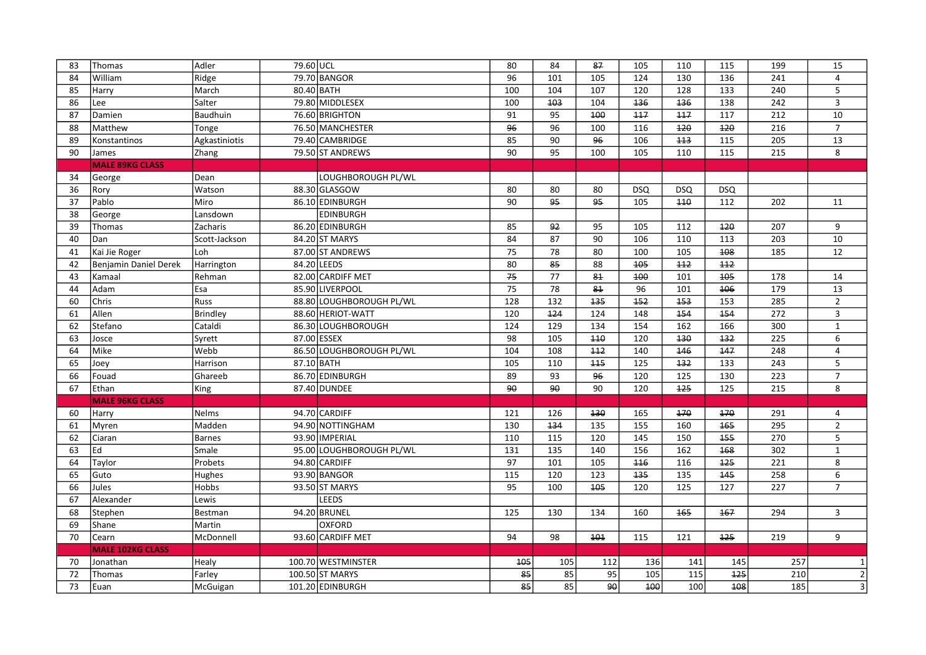| 83 | Thomas                  | Adler           | 79.60 UCL |                          | 80                | 84               | 87               | 105              | 110              | 115              | 199              | 15             |
|----|-------------------------|-----------------|-----------|--------------------------|-------------------|------------------|------------------|------------------|------------------|------------------|------------------|----------------|
| 84 | William                 | Ridge           |           | 79.70 BANGOR             | $\overline{96}$   | 101              | $\frac{105}{2}$  | $\frac{124}{ }$  | 130              | $\frac{136}{ }$  | $\overline{241}$ | 4              |
| 85 | Harry                   | March           |           | 80.40 BATH               | 100               | 104              | 107              | 120              | 128              | 133              | 240              | 5              |
| 86 | Lee                     | Salter          |           | 79.80 MIDDLESEX          | 100               | 103              | 104              | 136              | 136              | 138              | 242              | 3              |
| 87 | Damien                  | Baudhuin        |           | 76.60 BRIGHTON           | 91                | 95               | 100              | 117              | 117              | 117              | 212              | 10             |
| 88 | Matthew                 | Tonge           |           | 76.50 MANCHESTER         | 96                | 96               | 100              | 116              | 120              | 120              | 216              | $\overline{7}$ |
| 89 | Konstantinos            | Agkastiniotis   |           | 79.40 CAMBRIDGE          | 85                | 90               | 96               | 106              | 113              | 115              | 205              | 13             |
| 90 | James                   | Zhang           |           | 79.50 ST ANDREWS         | 90                | 95               | 100              | 105              | 110              | 115              | 215              | 8              |
|    | <b>MALE 89KG CLASS</b>  |                 |           |                          |                   |                  |                  |                  |                  |                  |                  |                |
| 34 | George                  | Dean            |           | LOUGHBOROUGH PL/WL       |                   |                  |                  |                  |                  |                  |                  |                |
| 36 | Rory                    | Watson          |           | 88.30 GLASGOW            | 80                | 80               | 80               | <b>DSQ</b>       | <b>DSQ</b>       | <b>DSQ</b>       |                  |                |
| 37 | Pablo                   | Miro            |           | 86.10 EDINBURGH          | $\overline{90}$   | 95               | 95               | $\frac{105}{ }$  | 440              | 112              | 202              | 11             |
| 38 | George                  | Lansdown        |           | <b>EDINBURGH</b>         |                   |                  |                  |                  |                  |                  |                  |                |
| 39 | Thomas                  | Zacharis        |           | 86.20 EDINBURGH          | 85                | 92               | 95               | 105              | 112              | 420              | 207              | 9              |
| 40 | Dan                     | Scott-Jackson   |           | 84.20 ST MARYS           | 84                | 87               | $\overline{90}$  | 106              | 110              | 113              | 203              | $10\,$         |
| 41 | Kai Jie Roger           | Loh             |           | 87.00 ST ANDREWS         | 75                | $\overline{78}$  | 80               | 100              | $\frac{105}{2}$  | $\overline{408}$ | 185              | 12             |
| 42 | Benjamin Daniel Derek   | Harrington      |           | 84.20 LEEDS              | 80                | 85               | 88               | 105              | 112              | 112              |                  |                |
| 43 | Kamaal                  | Rehman          |           | 82.00 CARDIFF MET        | 75                | $\overline{77}$  | 81               | 100              | 101              | 105              | 178              | 14             |
| 44 | Adam                    | Esa             |           | 85.90 LIVERPOOL          | 75                | 78               | 81               | 96               | 101              | 106              | 179              | 13             |
| 60 | Chris                   | Russ            |           | 88.80 LOUGHBOROUGH PL/WL | 128               | 132              | 135              | 152              | 153              | 153              | 285              | $\overline{2}$ |
| 61 | Allen                   | <b>Brindley</b> |           | 88.60 HERIOT-WATT        | 120               | 124              | $\overline{124}$ | 148              | 154              | 454              | 272              | $\overline{3}$ |
| 62 | Stefano                 | Cataldi         |           | 86.30 LOUGHBOROUGH       | 124               | 129              | 134              | 154              | 162              | 166              | 300              | $\mathbf{1}$   |
| 63 | Josce                   | Syrett          |           | 87.00 ESSEX              | $\overline{98}$   | 105              | 440              | 120              | 130              | 132              | $\overline{225}$ | 6              |
| 64 | Mike                    | Webb            |           | 86.50 LOUGHBOROUGH PL/WL | 104               | 108              | $\overline{112}$ | 140              | $\overline{146}$ | 147              | 248              | 4              |
| 65 | Joey                    | Harrison        |           | 87.10 BATH               | 105               | 110              | 115              | $\frac{125}{ }$  | 132              | 133              | 243              | 5              |
| 66 | Fouad                   | Ghareeb         |           | 86.70 EDINBURGH          | 89                | $\overline{93}$  | $\overline{96}$  | $\frac{120}{ }$  | 125              | 130              | $\overline{223}$ | $\overline{7}$ |
| 67 | Ethan                   | King            |           | 87.40 DUNDEE             | 90                | 90               | 90               | $\frac{120}{ }$  | 125              | $\frac{125}{2}$  | 215              | $\overline{8}$ |
|    | <b>MALE 96KG CLASS</b>  |                 |           |                          |                   |                  |                  |                  |                  |                  |                  |                |
| 60 | Harry                   | Nelms           |           | 94.70 CARDIFF            | 121               | 126              | 130              | 165              | 170              | 170              | 291              | 4              |
| 61 | Myren                   | Madden          |           | 94.90 NOTTINGHAM         | 130               | 134              | 135              | 155              | 160              | 165              | 295              | $\overline{2}$ |
| 62 | Ciaran                  | <b>Barnes</b>   |           | 93.90 IMPERIAL           | 110               | 115              | 120              | 145              | 150              | 155              | 270              | 5              |
| 63 | Ed                      | Smale           |           | 95.00 LOUGHBOROUGH PL/WL | 131               | $\overline{135}$ | 140              | $\overline{156}$ | 162              | 168              | 302              | $\mathbf 1$    |
| 64 | Taylor                  | Probets         |           | 94.80 CARDIFF            | 97                | 101              | 105              | 116              | 116              | 125              | 221              | 8              |
| 65 | Guto                    | Hughes          |           | 93.90 BANGOR             | $\frac{115}{115}$ | 120              | 123              | 135              | 135              | 145              | 258              | 6              |
| 66 | Jules                   | <b>Hobbs</b>    |           | 93.50 ST MARYS           | $\overline{95}$   | 100              | $\overline{405}$ | 120              | $\frac{125}{2}$  | 127              | $\overline{227}$ | $\overline{7}$ |
| 67 | Alexander               | Lewis           |           | <b>LEEDS</b>             |                   |                  |                  |                  |                  |                  |                  |                |
| 68 | Stephen                 | Bestman         |           | 94.20 BRUNEL             | 125               | 130              | 134              | 160              | 165              | 167              | 294              | 3              |
| 69 | Shane                   | Martin          |           | <b>OXFORD</b>            |                   |                  |                  |                  |                  |                  |                  |                |
| 70 | Cearn                   | McDonnell       |           | 93.60 CARDIFF MET        | 94                | 98               | 101              | 115              | 121              | 125              | 219              | 9              |
|    | <b>MALE 102KG CLASS</b> |                 |           |                          |                   |                  |                  |                  |                  |                  |                  |                |
| 70 | Jonathan                | Healy           |           | 100.70 WESTMINSTER       | 105               | 105              | 112              | 136              | 141              | 145              | 257              | $\mathbf{1}$   |
| 72 | Thomas                  | Farley          |           | 100.50 ST MARYS          | 85                | 85               | 95               | 105              | 115              | 125              | 210              | $\vert$ 2      |
| 73 | Euan                    | McGuigan        |           | 101.20 EDINBURGH         | 85                | 85               | 90               | 100              | 100              | 108              | 185              | $\overline{3}$ |